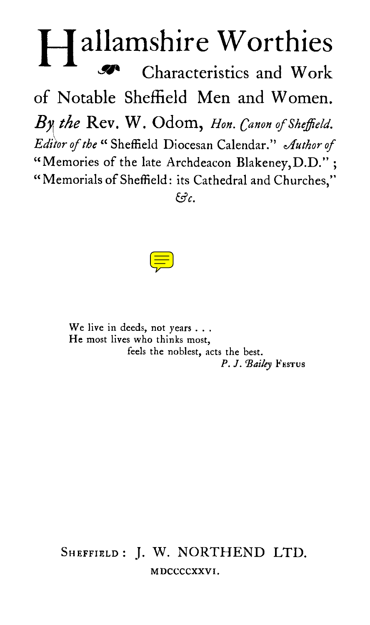## allamshire Worthies Characteristics and Work of Notable Sheffield Men and Women. *B the* Rev. W. Odom, *Hon. Canon of Sheffield. Editor of the "* Sheffield Diocesan Calendar." *author of*  "Memories of the late Archdeacon Blakeney,D.D." ; "Memorials of Sheffield: its Cathedral and Churches," *&c.*



We live in deeds, not years . . . He most lives who thinks most, feels the noblest, acts the best. P. J. Bailey **FESTUS** 

SHEFFIELD: J. W. NORTHEND LTD. MDCCCCXXVI.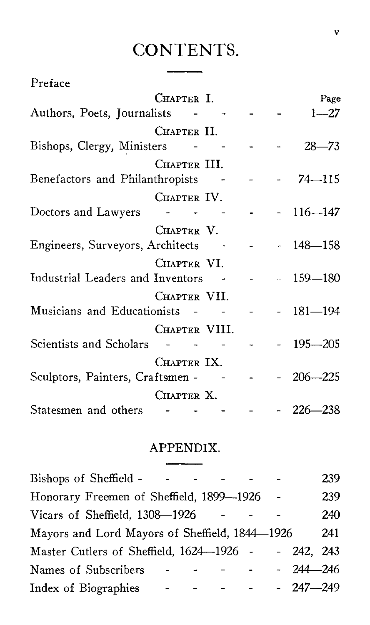## CONTENTS.

| Preface                          |                     |  |              |
|----------------------------------|---------------------|--|--------------|
|                                  | CHAPTER I.          |  | Page         |
| Authors, Poets, Journalists - -  |                     |  | $1 - 27$     |
|                                  | CHAPTER II.         |  |              |
| Bishops, Clergy, Ministers       |                     |  | $28 - 73$    |
|                                  | CHAPTER III.        |  |              |
| Benefactors and Philanthropists  |                     |  | 74–115       |
|                                  | CHAPTER IV.         |  |              |
| Doctors and Lawyers              | كالمستحدث والمستحدث |  | $-116 - 147$ |
|                                  | CHAPTER V.          |  |              |
| Engineers, Surveyors, Architects |                     |  | $-148 - 158$ |
|                                  | CHAPTER VI.         |  |              |
| Industrial Leaders and Inventors |                     |  | $-159 - 180$ |
|                                  | CHAPTER VII.        |  |              |
| Musicians and Educationists      |                     |  | $-181 - 194$ |
|                                  | CHAPTER VIII.       |  |              |
| Scientists and Scholars          |                     |  | $-195 - 205$ |
|                                  | CHAPTER IX.         |  |              |
| Sculptors, Painters, Craftsmen - |                     |  | $206 - 225$  |
|                                  | Chapter X.          |  |              |
| Statesmen and others - - - -     |                     |  | $-226 - 238$ |

## APPENDIX.

 $\overline{\phantom{0}}$ 

| Bishops of Sheffield -                         |  |  |              | 239 |
|------------------------------------------------|--|--|--------------|-----|
| Honorary Freemen of Sheffield, 1899-1926       |  |  |              | 239 |
| Vicars of Sheffield, 1308-1926                 |  |  |              | 240 |
| Mayors and Lord Mayors of Sheffield, 1844-1926 |  |  |              | 241 |
| Master Cutlers of Sheffield, 1624-1926 -       |  |  | - 242, 243   |     |
| Names of Subscribers                           |  |  | $-244 - 246$ |     |
| Index of Biographies                           |  |  | $-247 - 249$ |     |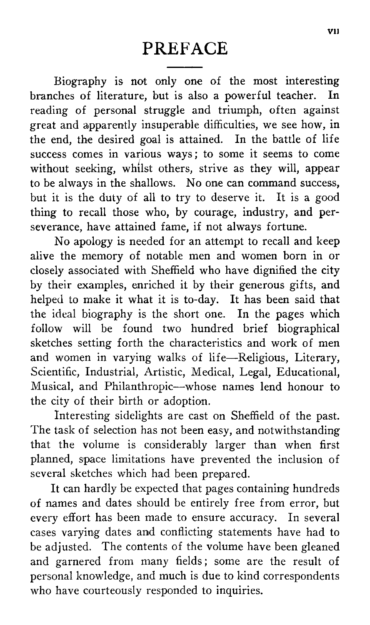Biography is not only one of the most interesting branches of literature, but is also a powerful teacher. In reading of personal struggle and triumph, often against great and apparently insuperable difficulties, we see how, in the end, the desired goal is attained. In the battle of life success comes in various ways ; to some it seems to come without seeking, whilst others, strive as they will, appear to be always in the shallows. No one can command success, but it is the duty of all to try to deserve it. It is a good thing to recall those who, by courage, industry, and perseverance, have attained fame, if not always fortune.

No apology is needed for an attempt to recall and keep alive the memory of notable men and women born in or closely associated with Sheffield who have dignified the city by their examples, enriched it by their generous gifts, and helped to make it what it is to-day. It has been said that the ideal biography is the short one. In the pages which follow will be found two hundred brief biographical sketches setting forth the characteristics and work of men and women in varying walks of life—Religious, Literary, Scientific, Industrial, Artistic, Medical, Legal, Educational, Musical, and Philanthropic—whose names lend honour to the city of their birth or adoption.

Interesting sidelights are cast on Sheffield of the past. The task of selection has not been easy, and notwithstanding that the volume is considerably larger than when first planned, space limitations have prevented the inclusion of several sketches which had been prepared.

It can hardly be expected that pages containing hundreds of names and dates should be entirely free from error, but every effort has been made to ensure accuracy. In several cases varying dates and conflicting statements have had to be adjusted. The contents of the volume have been gleaned and garnered from many fields ; some are the result of personal knowledge, and much is due to kind correspondents who have courteously responded to inquiries.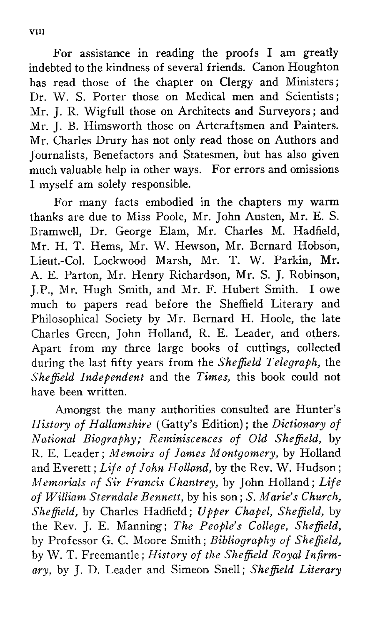For assistance in reading the proofs I am greatly indebted to the kindness of several friends. Canon Houghton has read those of the chapter on Clergy and Ministers; Dr. W. S. Porter those on Medical men and Scientists ; Mr. J. R. Wigfull those on Architects and Surveyors ; and Mr. J. B. Himsworth those on Artcraftsmen and Painters. Mr. Charles Drury has not only read those on Authors and Journalists, Benefactors and Statesmen, but has also given much valuable help in other ways. For errors and omissions I myself am solely responsible.

For many facts embodied in the chapters my warm thanks are due to Miss Poole, Mr. John Austen, Mr. E. S. Bramwell, Dr. George Elam, Mr. Charles M. Hadfield, Mr. H. T. Hems, Mr. W. Hewson, Mr. Bernard Hobson, Lieut.-Col. Lockwood Marsh, Mr. T. W. Parkin, Mr. A. E. Parton, Mr. Henry Richardson, Mr. S. J. Robinson, J.P., Mr. Hugh Smith, and Mr. F. Hubert Smith. I owe much to papers read before the Sheffield Literary and Philosophical Society by Mr. Bernard H. Hoole, the late Charles Green, John Holland, R. E. Leader, and others. Apart from my three large books of cuttings, collected during the last fifty years from the *Sheffield Telegraph,* the *Sheffield Independent* and the *Times,* this book could not have been written.

Amongst the many authorities consulted are Hunter's *History of Hallamshire* (Gatty's Edition) ; the *Dictionary of National Biography; Reminiscences of Old Sheffield,* by R. E. Leader ; *Memoirs of James Montgomery,* by Holland and Everett ; *Life of John Holland,* by the Rev. W. Hudson ; *Memorials of Sir Francis Chantrey,* by John Holland; *Life of William Sterndale Bennett,* by his son; *S. Marie's Church, Sheffield,* by Charles Hadfield; *Upper Chapel, Sheffield,* by the Rev. J. E. Manning ; *The People's College, Sheffield,*  by Professor G. C. Moore Smith ; *Bibliography of Sheffield,*  by W. T. Freemantle; *History of the Sheffield Royal Infirmary,* by J. D. Leader and Simeon Snell ; *Sheffield Literary*